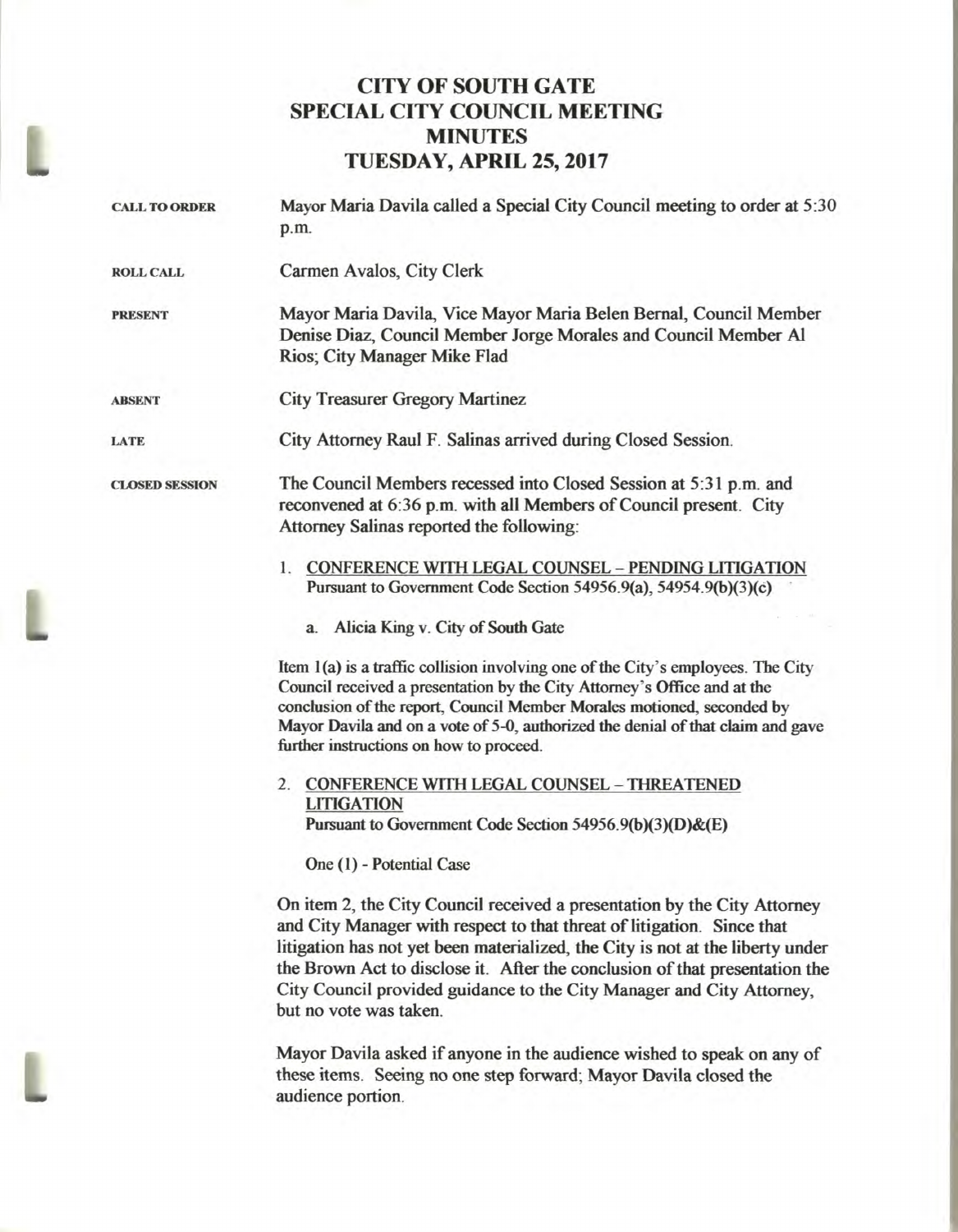## **CITY OF SOUTH GATE SPECIAL CITY COUNCIL MEETING MINUTES TUESDAY, APRIL 25, 2017**

| <b>CALL TO ORDER</b>  | Mayor Maria Davila called a Special City Council meeting to order at 5:30<br>p.m.                                                                                                                                                                                                                                                                                    |
|-----------------------|----------------------------------------------------------------------------------------------------------------------------------------------------------------------------------------------------------------------------------------------------------------------------------------------------------------------------------------------------------------------|
| <b>ROLL CALL</b>      | Carmen Avalos, City Clerk                                                                                                                                                                                                                                                                                                                                            |
| <b>PRESENT</b>        | Mayor Maria Davila, Vice Mayor Maria Belen Bernal, Council Member<br>Denise Diaz, Council Member Jorge Morales and Council Member Al<br>Rios; City Manager Mike Flad                                                                                                                                                                                                 |
| <b>ABSENT</b>         | <b>City Treasurer Gregory Martinez</b>                                                                                                                                                                                                                                                                                                                               |
| <b>LATE</b>           | City Attorney Raul F. Salinas arrived during Closed Session.                                                                                                                                                                                                                                                                                                         |
| <b>CLOSED SESSION</b> | The Council Members recessed into Closed Session at 5:31 p.m. and<br>reconvened at 6:36 p.m. with all Members of Council present. City<br>Attorney Salinas reported the following:                                                                                                                                                                                   |
|                       | 1. CONFERENCE WITH LEGAL COUNSEL - PENDING LITIGATION<br>Pursuant to Government Code Section 54956.9(a), 54954.9(b)(3)(c)                                                                                                                                                                                                                                            |
|                       | a. Alicia King v. City of South Gate                                                                                                                                                                                                                                                                                                                                 |
|                       | Item 1(a) is a traffic collision involving one of the City's employees. The City<br>Council received a presentation by the City Attorney's Office and at the<br>conclusion of the report, Council Member Morales motioned, seconded by<br>Mayor Davila and on a vote of 5-0, authorized the denial of that claim and gave<br>further instructions on how to proceed. |
|                       | 2. CONFERENCE WITH LEGAL COUNSEL - THREATENED<br><b>LITIGATION</b><br>Pursuant to Government Code Section 54956.9(b)(3)(D)&(E)                                                                                                                                                                                                                                       |
|                       | One (1) - Potential Case                                                                                                                                                                                                                                                                                                                                             |
|                       | On item 2, the City Council received a presentation by the City Attorney<br>and City Manager with respect to that threat of litigation. Since that<br>litigation has not yet been materialized, the City is not at the liberty under<br>the Brown Act to disclose it. After the conclusion of that presentation the                                                  |

**Mayor Davila asked if anyone in the audience wished to speak on any of these items. Seeing no one step forward; Mayor Davila closed the audience portion.** 

**City Council provided guidance to the City Manager and City Attorney,** 

**but no vote was taken.**